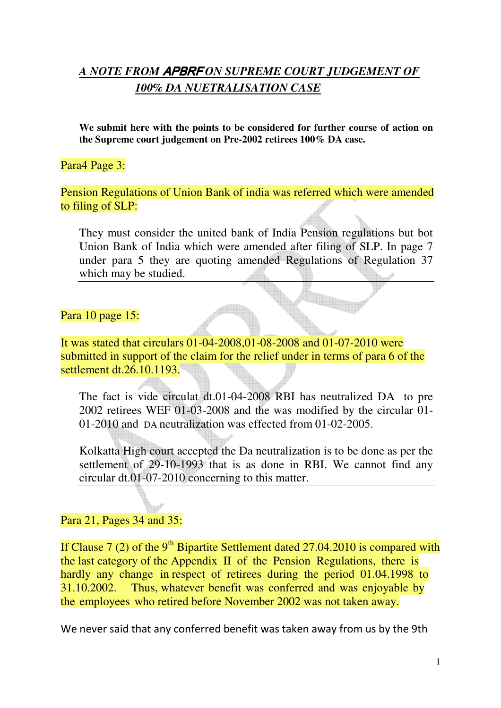# *A NOTE FROM* APBRF *ON SUPREME COURT JUDGEMENT OF 100% DA NUETRALISATION CASE*

**We submit here with the points to be considered for further course of action on the Supreme court judgement on Pre-2002 retirees 100% DA case.** 

#### Para4 Page 3:

Pension Regulations of Union Bank of india was referred which were amended to filing of SLP:

They must consider the united bank of India Pension regulations but bot Union Bank of India which were amended after filing of SLP. In page 7 under para 5 they are quoting amended Regulations of Regulation 37 which may be studied.

#### Para 10 page 15:

It was stated that circulars 01-04-2008,01-08-2008 and 01-07-2010 were submitted in support of the claim for the relief under in terms of para 6 of the settlement dt.26.10.1193.

The fact is vide circulat dt.01-04-2008 RBI has neutralized DA to pre 2002 retirees WEF 01-03-2008 and the was modified by the circular 01- 01-2010 and DA neutralization was effected from 01-02-2005.

Kolkatta High court accepted the Da neutralization is to be done as per the settlement of 29-10-1993 that is as done in RBI. We cannot find any circular dt.01-07-2010 concerning to this matter.

#### Para 21, Pages 34 and 35:

If Clause 7 (2) of the 9<sup>th</sup> Bipartite Settlement dated 27.04.2010 is compared with the last category of the Appendix II of the Pension Regulations, there is hardly any change in respect of retirees during the period 01.04.1998 to 31.10.2002. Thus, whatever benefit was conferred and was enjoyable by the employees who retired before November 2002 was not taken away.

We never said that any conferred benefit was taken away from us by the 9th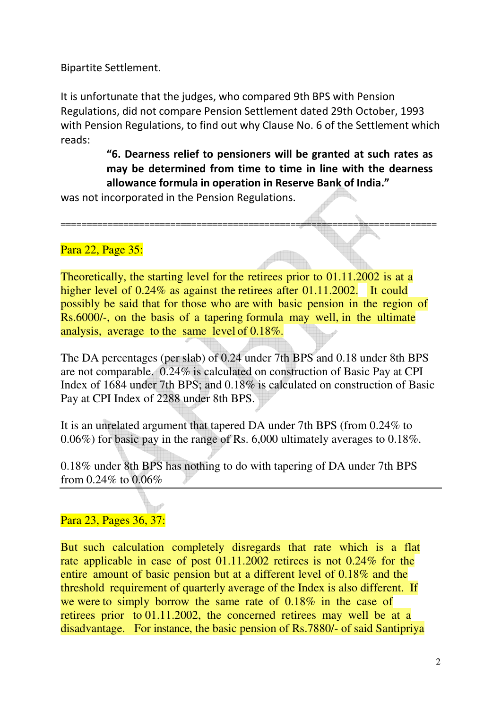Bipartite Settlement.

It is unfortunate that the judges, who compared 9th BPS with Pension Regulations, did not compare Pension Settlement dated 29th October, 1993 with Pension Regulations, to find out why Clause No. 6 of the Settlement which reads:

# **"6. Dearness relief to pensioners will be granted at such rates as may be determined from time to time in line with the dearness allowance formula in operation in Reserve Bank of India."**

was not incorporated in the Pension Regulations.

## Para 22, Page 35:

Theoretically, the starting level for the retirees prior to 01.11.2002 is at a higher level of 0.24% as against the retirees after 01.11.2002. It could possibly be said that for those who are with basic pension in the region of Rs.6000/-, on the basis of a tapering formula may well, in the ultimate analysis, average to the same level of 0.18%.

========================================================================

The DA percentages (per slab) of 0.24 under 7th BPS and 0.18 under 8th BPS are not comparable. 0.24% is calculated on construction of Basic Pay at CPI Index of 1684 under 7th BPS; and 0.18% is calculated on construction of Basic Pay at CPI Index of 2288 under 8th BPS.

It is an unrelated argument that tapered DA under 7th BPS (from 0.24% to 0.06%) for basic pay in the range of Rs. 6,000 ultimately averages to 0.18%.

0.18% under 8th BPS has nothing to do with tapering of DA under 7th BPS from 0.24% to 0.06%

## Para 23, Pages 36, 37:

But such calculation completely disregards that rate which is a flat rate applicable in case of post 01.11.2002 retirees is not 0.24% for the entire amount of basic pension but at a different level of 0.18% and the threshold requirement of quarterly average of the Index is also different. If we were to simply borrow the same rate of 0.18% in the case of retirees prior to 01.11.2002, the concerned retirees may well be at a disadvantage. For instance, the basic pension of Rs.7880/- of said Santipriya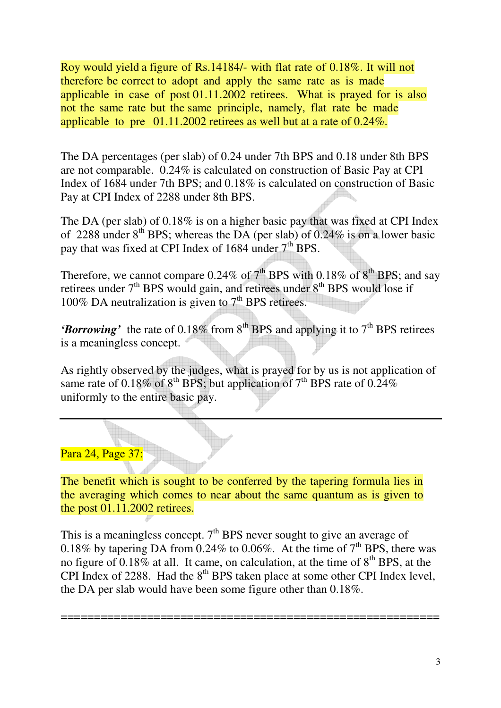Roy would yield a figure of Rs.14184/- with flat rate of 0.18%. It will not therefore be correct to adopt and apply the same rate as is made applicable in case of post 01.11.2002 retirees. What is prayed for is also not the same rate but the same principle, namely, flat rate be made applicable to pre 01.11.2002 retirees as well but at a rate of 0.24%.

The DA percentages (per slab) of 0.24 under 7th BPS and 0.18 under 8th BPS are not comparable. 0.24% is calculated on construction of Basic Pay at CPI Index of 1684 under 7th BPS; and 0.18% is calculated on construction of Basic Pay at CPI Index of 2288 under 8th BPS.

The DA (per slab) of 0.18% is on a higher basic pay that was fixed at CPI Index of 2288 under  $8^{th}$  BPS; whereas the DA (per slab) of 0.24% is on a lower basic pay that was fixed at CPI Index of 1684 under 7<sup>th</sup> BPS.

Therefore, we cannot compare  $0.24\%$  of  $7<sup>th</sup>$  BPS with  $0.18\%$  of  $8<sup>th</sup>$  BPS; and say retirees under  $7<sup>th</sup>$  BPS would gain, and retirees under  $8<sup>th</sup>$  BPS would lose if 100% DA neutralization is given to  $7<sup>th</sup>$  BPS retirees.

'Borrowing' the rate of 0.18% from 8<sup>th</sup> BPS and applying it to 7<sup>th</sup> BPS retirees is a meaningless concept.

As rightly observed by the judges, what is prayed for by us is not application of same rate of 0.18% of  $8^{th}$  BPS; but application of  $7^{th}$  BPS rate of 0.24% uniformly to the entire basic pay.

## Para 24, Page 37:

The benefit which is sought to be conferred by the tapering formula lies in the averaging which comes to near about the same quantum as is given to the post 01.11.2002 retirees.

This is a meaningless concept.  $7<sup>th</sup>$  BPS never sought to give an average of 0.18% by tapering DA from 0.24% to 0.06%. At the time of  $7<sup>th</sup>$  BPS, there was no figure of 0.18% at all. It came, on calculation, at the time of  $8<sup>th</sup>$  BPS, at the CPI Index of 2288. Had the  $8<sup>th</sup>$  BPS taken place at some other CPI Index level. the DA per slab would have been some figure other than 0.18%.

=========================================================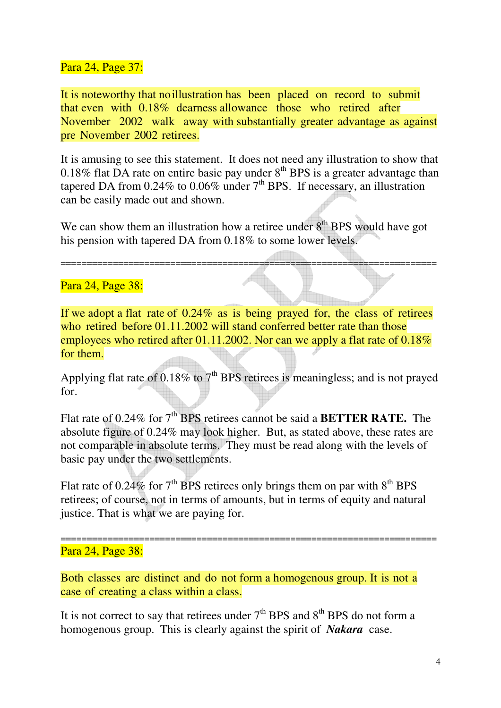#### Para 24, Page 37:

It is noteworthy that no illustration has been placed on record to submit that even with 0.18% dearness allowance those who retired after November 2002 walk away with substantially greater advantage as against pre November 2002 retirees.

It is amusing to see this statement. It does not need any illustration to show that 0.18% flat DA rate on entire basic pay under  $8<sup>th</sup>$  BPS is a greater advantage than tapered DA from  $0.24\%$  to  $0.06\%$  under  $7<sup>th</sup>$  BPS. If necessary, an illustration can be easily made out and shown.

We can show them an illustration how a retiree under  $8<sup>th</sup>$  BPS would have got his pension with tapered DA from 0.18% to some lower levels.

========================================================================

#### Para 24, Page 38:

If we adopt a flat rate of 0.24% as is being prayed for, the class of retirees who retired before 01.11.2002 will stand conferred better rate than those employees who retired after 01.11.2002. Nor can we apply a flat rate of 0.18% for them.

Applying flat rate of  $0.18\%$  to  $7<sup>th</sup>$  BPS retirees is meaningless; and is not prayed for.

Flat rate of 0.24% for 7<sup>th</sup> BPS retirees cannot be said a **BETTER RATE.** The absolute figure of 0.24% may look higher. But, as stated above, these rates are not comparable in absolute terms. They must be read along with the levels of basic pay under the two settlements.

Flat rate of 0.24% for  $7<sup>th</sup>$  BPS retirees only brings them on par with  $8<sup>th</sup>$  BPS retirees; of course, not in terms of amounts, but in terms of equity and natural justice. That is what we are paying for.

========================================================================

#### Para 24, Page 38:

Both classes are distinct and do not form a homogenous group. It is not a case of creating a class within a class.

It is not correct to say that retirees under  $7<sup>th</sup>$  BPS and  $8<sup>th</sup>$  BPS do not form a homogenous group. This is clearly against the spirit of *Nakara* case.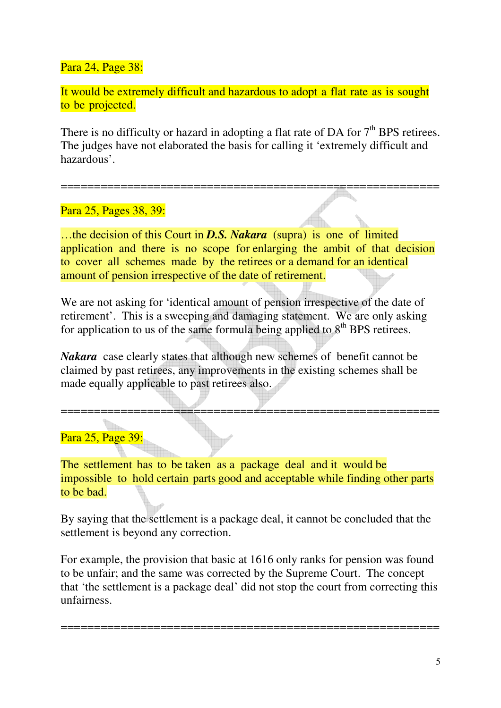Para 24, Page 38:

It would be extremely difficult and hazardous to adopt a flat rate as is sought to be projected.

There is no difficulty or hazard in adopting a flat rate of DA for  $7<sup>th</sup>$  BPS retirees. The judges have not elaborated the basis for calling it 'extremely difficult and hazardous'.

=========================================================

## Para 25, Pages 38, 39:

…the decision of this Court in *D.S. Nakara* (supra) is one of limited application and there is no scope for enlarging the ambit of that decision to cover all schemes made by the retirees or a demand for an identical amount of pension irrespective of the date of retirement.

We are not asking for 'identical amount of pension irrespective of the date of retirement'. This is a sweeping and damaging statement. We are only asking for application to us of the same formula being applied to  $8<sup>th</sup>$  BPS retirees.

*Nakara* case clearly states that although new schemes of benefit cannot be claimed by past retirees, any improvements in the existing schemes shall be made equally applicable to past retirees also.

## Para 25, Page 39:

The settlement has to be taken as a package deal and it would be impossible to hold certain parts good and acceptable while finding other parts to be bad.

=========================================================

By saying that the settlement is a package deal, it cannot be concluded that the settlement is beyond any correction.

For example, the provision that basic at 1616 only ranks for pension was found to be unfair; and the same was corrected by the Supreme Court. The concept that 'the settlement is a package deal' did not stop the court from correcting this unfairness.

=========================================================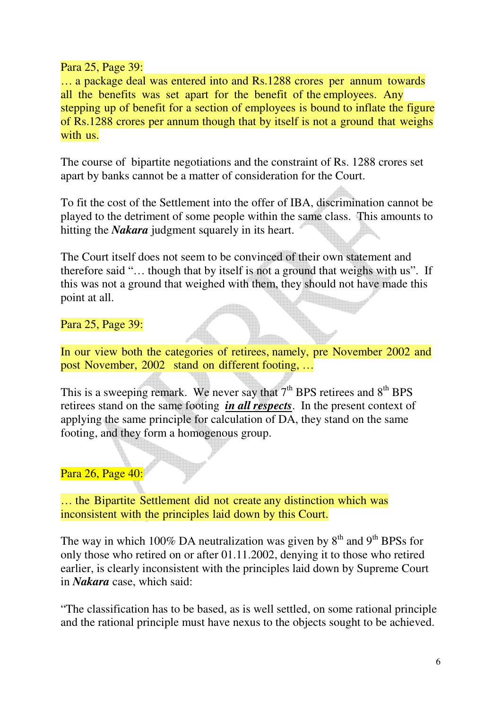Para 25, Page 39:

… a package deal was entered into and Rs.1288 crores per annum towards all the benefits was set apart for the benefit of the employees. Any stepping up of benefit for a section of employees is bound to inflate the figure of Rs.1288 crores per annum though that by itself is not a ground that weighs with us.

The course of bipartite negotiations and the constraint of Rs. 1288 crores set apart by banks cannot be a matter of consideration for the Court.

To fit the cost of the Settlement into the offer of IBA, discrimination cannot be played to the detriment of some people within the same class. This amounts to hitting the *Nakara* judgment squarely in its heart.

The Court itself does not seem to be convinced of their own statement and therefore said "… though that by itself is not a ground that weighs with us". If this was not a ground that weighed with them, they should not have made this point at all.

Para 25, Page 39:

In our view both the categories of retirees, namely, pre November 2002 and post November, 2002 stand on different footing, …

This is a sweeping remark. We never say that  $7<sup>th</sup>$  BPS retirees and  $8<sup>th</sup>$  BPS retirees stand on the same footing *in all respects*. In the present context of applying the same principle for calculation of DA, they stand on the same footing, and they form a homogenous group.

Para 26, Page 40:

… the Bipartite Settlement did not create any distinction which was inconsistent with the principles laid down by this Court.

The way in which 100% DA neutralization was given by  $8<sup>th</sup>$  and  $9<sup>th</sup>$  BPSs for only those who retired on or after 01.11.2002, denying it to those who retired earlier, is clearly inconsistent with the principles laid down by Supreme Court in *Nakara* case, which said:

"The classification has to be based, as is well settled, on some rational principle and the rational principle must have nexus to the objects sought to be achieved.